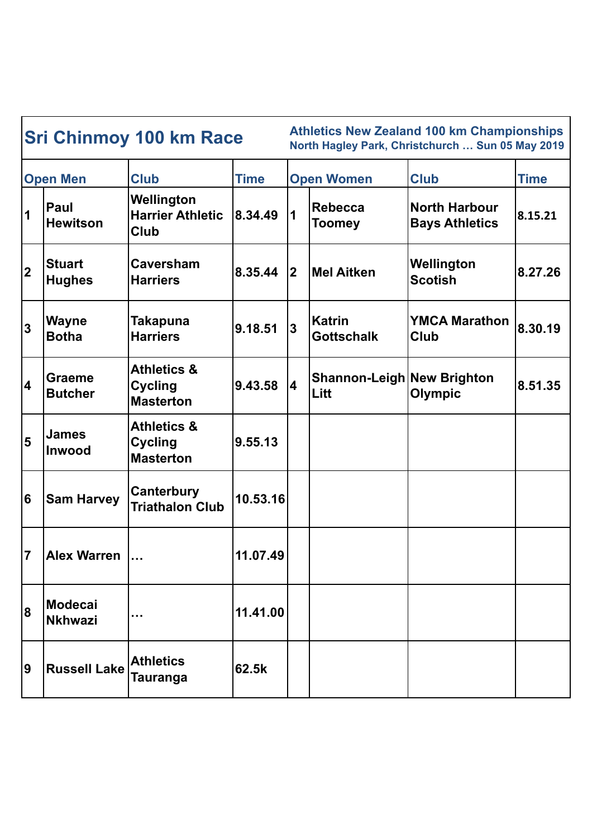| <b>Sri Chinmoy 100 km Race</b> |                                 |                                                              |             | <b>Athletics New Zealand 100 km Championships</b><br>North Hagley Park, Christchurch  Sun 05 May 2019 |                                           |                                               |         |
|--------------------------------|---------------------------------|--------------------------------------------------------------|-------------|-------------------------------------------------------------------------------------------------------|-------------------------------------------|-----------------------------------------------|---------|
| <b>Open Men</b>                |                                 | <b>Club</b>                                                  | <b>Time</b> | <b>Open Women</b>                                                                                     |                                           | <b>Club</b>                                   | Time    |
| $\vert$ 1                      | Paul<br><b>Hewitson</b>         | Wellington<br><b>Harrier Athletic</b><br>Club                | 8.34.49     | $\mathbf 1$                                                                                           | <b>Rebecca</b><br><b>Toomey</b>           | <b>North Harbour</b><br><b>Bays Athletics</b> | 8.15.21 |
| 2                              | <b>Stuart</b><br><b>Hughes</b>  | <b>Caversham</b><br><b>Harriers</b>                          | 8.35.44     | <u> 2</u>                                                                                             | Mel Aitken                                | Wellington<br><b>Scotish</b>                  | 8.27.26 |
| 3                              | <b>Wayne</b><br><b>Botha</b>    | <b>Takapuna</b><br><b>Harriers</b>                           | 9.18.51     | $\overline{3}$                                                                                        | <b>Katrin</b><br><b>Gottschalk</b>        | <b>YMCA Marathon</b><br><b>Club</b>           | 8.30.19 |
| 4                              | <b>Graeme</b><br><b>Butcher</b> | <b>Athletics &amp;</b><br><b>Cycling</b><br><b>Masterton</b> | 9.43.58     | $\overline{\mathbf{4}}$                                                                               | <b>Shannon-Leigh New Brighton</b><br>Litt | <b>Olympic</b>                                | 8.51.35 |
| 5                              | <b>James</b><br><b>Inwood</b>   | <b>Athletics &amp;</b><br><b>Cycling</b><br><b>Masterton</b> | 9.55.13     |                                                                                                       |                                           |                                               |         |
| 6                              | <b>Sam Harvey</b>               | <b>Canterbury</b><br><b>Triathalon Club</b>                  | 10.53.16    |                                                                                                       |                                           |                                               |         |
| 17                             | <b>Alex Warren</b>              |                                                              | 11.07.49    |                                                                                                       |                                           |                                               |         |
| 8                              | Modecai<br><b>Nkhwazi</b>       | $\cdots$                                                     | 11.41.00    |                                                                                                       |                                           |                                               |         |
| 9                              | <b>Russell Lake</b>             | <b>Athletics</b><br><b>Tauranga</b>                          | 62.5k       |                                                                                                       |                                           |                                               |         |